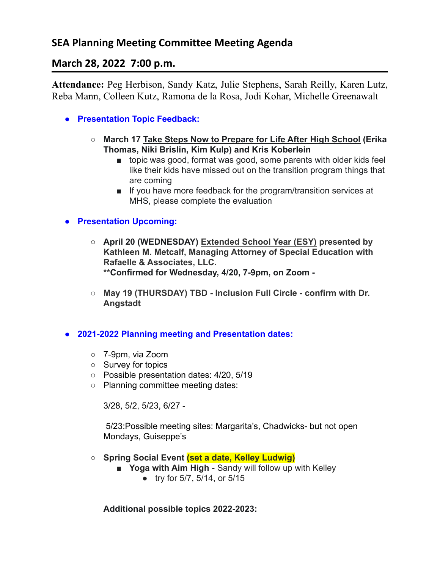# **SEA Planning Meeting Committee Meeting Agenda**

# **March 28, 2022 7:00 p.m.**

**Attendance:** Peg Herbison, Sandy Katz, Julie Stephens, Sarah Reilly, Karen Lutz, Reba Mann, Colleen Kutz, Ramona de la Rosa, Jodi Kohar, Michelle Greenawalt

- **● Presentation Topic Feedback:**
	- **○ March 17 Take Steps Now to Prepare for Life After High School (Erika Thomas, Niki Brislin, Kim Kulp) and Kris Koberlein**
		- topic was good, format was good, some parents with older kids feel like their kids have missed out on the transition program things that are coming
		- If you have more feedback for the program/transition services at MHS, please complete the evaluation

## **● Presentation Upcoming:**

- **○ April 20 (WEDNESDAY) Extended School Year (ESY) presented by Kathleen M. Metcalf, Managing Attorney of Special Education with Rafaelle & Associates, LLC. \*\*Confirmed for Wednesday, 4/20, 7-9pm, on Zoom -**
- **○ May 19 (THURSDAY) TBD Inclusion Full Circle confirm with Dr. Angstadt**

### **● 2021-2022 Planning meeting and Presentation dates:**

- 7-9pm, via Zoom
- Survey for topics
- Possible presentation dates: 4/20, 5/19
- Planning committee meeting dates:

3/28, 5/2, 5/23, 6/27 -

5/23:Possible meeting sites: Margarita's, Chadwicks- but not open Mondays, Guiseppe's

- **○ Spring Social Event (set a date, Kelley Ludwig)**
	- **Yoga with Aim High -** Sandy will follow up with Kelley
		- try for 5/7, 5/14, or 5/15

**Additional possible topics 2022-2023:**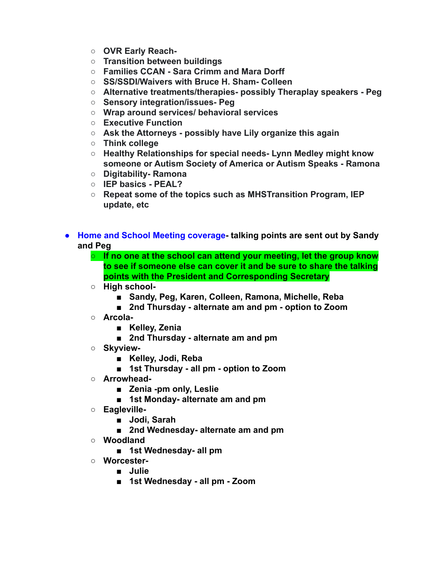- **○ OVR Early Reach-**
- **○ Transition between buildings**
- **○ Families CCAN Sara Crimm and Mara Dorff**
- **○ SS/SSDI/Waivers with Bruce H. Sham- Colleen**
- **○ Alternative treatments/therapies- possibly Theraplay speakers Peg**
- **○ Sensory integration/issues- Peg**
- **○ Wrap around services/ behavioral services**
- **○ Executive Function**
- **○ Ask the Attorneys possibly have Lily organize this again**
- **○ Think college**
- **○ Healthy Relationships for special needs- Lynn Medley might know someone or Autism Society of America or Autism Speaks - Ramona**
- **○ Digitability- Ramona**
- **○ IEP basics PEAL?**
- **○ Repeat some of the topics such as MHSTransition Program, IEP update, etc**
- **● Home and School Meeting coverage- talking points are sent out by Sandy and Peg**
	- **○ If no one at the school can attend your meeting, let the group know to see if someone else can cover it and be sure to share the talking points with the President and Corresponding Secretary**
	- **○ High school-**
		- **■ Sandy, Peg, Karen, Colleen, Ramona, Michelle, Reba**
		- **2nd Thursday alternate am and pm option to Zoom**
	- **○ Arcola-**
		- **■ Kelley, Zenia**
		- **■ 2nd Thursday alternate am and pm**
	- **○ Skyview-**
		- **■ Kelley, Jodi, Reba**
		- **■ 1st Thursday all pm option to Zoom**
	- **○ Arrowhead-**
		- **■ Zenia -pm only, Leslie**
		- **■ 1st Monday- alternate am and pm**
	- **○ Eagleville-**
		- **■ Jodi, Sarah**
		- **■ 2nd Wednesday- alternate am and pm**
	- **○ Woodland**
		- **■ 1st Wednesday- all pm**
	- **○ Worcester-**
		- **■ Julie**
		- **■ 1st Wednesday all pm Zoom**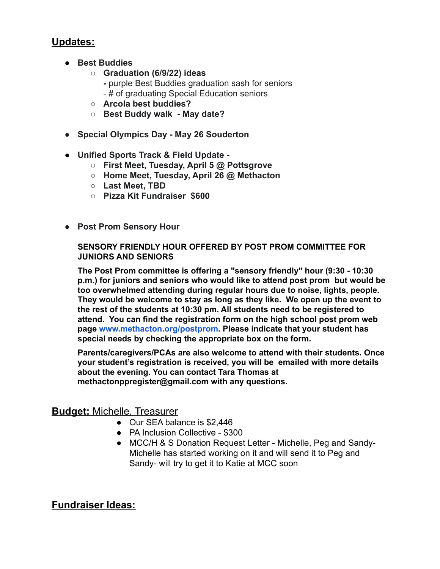# **Updates:**

- **● Best Buddies**
	- **○ Graduation (6/9/22) ideas**
		- **-** purple Best Buddies graduation sash for seniors
		- # of graduating Special Education seniors
	- **○ Arcola best buddies?**
	- **○ Best Buddy walk May date?**
- **● Special Olympics Day May 26 Souderton**
- **● Unified Sports Track & Field Update -**
	- **○ First Meet, Tuesday, April 5 @ Pottsgrove**
	- **○ Home Meet, Tuesday, April 26 @ Methacton**
	- **○ Last Meet, TBD**
	- **○ Pizza Kit Fundraiser \$600**
- **● Post Prom Sensory Hour**

#### **SENSORY FRIENDLY HOUR OFFERED BY POST PROM COMMITTEE FOR JUNIORS AND SENIORS**

**The Post Prom committee is offering a "sensory friendly" hour (9:30 - 10:30 p.m.) for juniors and seniors who would like to attend post prom but would be too overwhelmed attending during regular hours due to noise, lights, people. They would be welcome to stay as long as they like. We open up the event to the rest of the students at 10:30 pm. All students need to be registered to attend. You can find the registration form on the high school post prom web page [www.methacton.org/postprom.](https://l.facebook.com/l.php?u=http%3A%2F%2Fwww.methacton.org%2Fpostprom%3Ffbclid%3DIwAR2FC8KHbJ6USYoFJiV0_QO4ex_rmTQMI__t5_3kIJ_bI2KJtkBmgLF8khY&h=AT0w4nGG2QcXlfKuhKdHi6O_zZtxFR59dckUe4Y3krs9D2hd2-vdsucIMwFOybUqkL0TLZNksAdGUkzPTiWh-QaKAx0_OKc2iMbupTucxUJHLC63i5iOD-jy1WkQMDrvDKHbRgDu0g&__tn__=-UK-R&c[0]=AT1mhBTMcZxqvlKWG0H51day7NKas_VOGBk2kgk8gzs_7dTc9ljOkqf_GWJPPI8F9WFOaUPD9plGEMEjbTcT2Rahkla1oIujby_A4cYKDwPFQstB9YazIFs05l8xo1coqK0J7d28-q2epHjirqTty_uExHhFleAjdfb3T49ahZWqVpc) Please indicate that your student has special needs by checking the appropriate box on the form.**

**Parents/caregivers/PCAs are also welcome to attend with their students. Once your student's registration is received, you will be emailed with more details about the evening. You can contact Tara Thomas at methactonppregister@gmail.com with any questions.**

## **Budget:** Michelle, Treasurer

- Our SEA balance is \$2,446
- PA Inclusion Collective \$300
- MCC/H & S Donation Request Letter Michelle, Peg and Sandy-Michelle has started working on it and will send it to Peg and Sandy- will try to get it to Katie at MCC soon

# **Fundraiser Ideas:**